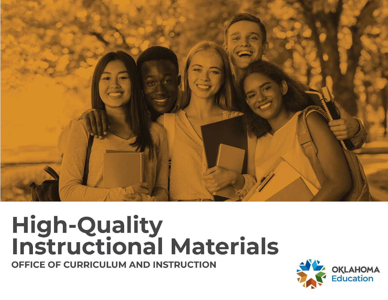

# **High-Quality<br>Instructional Materials**

OFFICE OF CURRICULUM AND INSTRUCTION

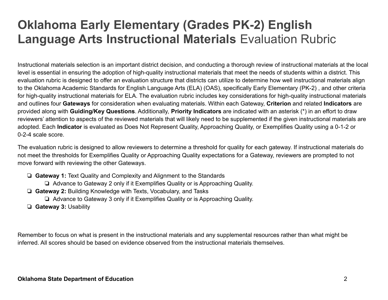## **Oklahoma Early Elementary (Grades PK-2) English Language Arts Instructional Materials** Evaluation Rubric

Instructional materials selection is an important district decision, and conducting a thorough review of instructional materials at the local level is essential in ensuring the adoption of high-quality instructional materials that meet the needs of students within a district. This evaluation rubric is designed to offer an evaluation structure that districts can utilize to determine how well instructional materials align to the Oklahoma Academic Standards for English Language Arts (ELA) (OAS), specifically Early Elementary (PK-2) , and other criteria for high-quality instructional materials for ELA. The evaluation rubric includes key considerations for high-quality instructional materials and outlines four **Gateways** for consideration when evaluating materials. Within each Gateway, **Criterion** and related **Indicators** are provided along with **Guiding/Key Questions**. Additionally, **Priority Indicators** are indicated with an asterisk (\*) in an effort to draw reviewers' attention to aspects of the reviewed materials that will likely need to be supplemented if the given instructional materials are adopted. Each **Indicator** is evaluated as Does Not Represent Quality, Approaching Quality, or Exemplifies Quality using a 0-1-2 or 0-2-4 scale score.

The evaluation rubric is designed to allow reviewers to determine a threshold for quality for each gateway. If instructional materials do not meet the thresholds for Exemplifies Quality or Approaching Quality expectations for a Gateway, reviewers are prompted to not move forward with reviewing the other Gateways.

- ❏ **Gateway 1:** Text Quality and Complexity and Alignment to the Standards
	- ❏ Advance to Gateway 2 only if it Exemplifies Quality or is Approaching Quality.
- ❏ **Gateway 2:** Building Knowledge with Texts, Vocabulary, and Tasks
	- ❏ Advance to Gateway 3 only if it Exemplifies Quality or is Approaching Quality.
- ❏ **Gateway 3:** Usability

Remember to focus on what is present in the instructional materials and any supplemental resources rather than what might be inferred. All scores should be based on evidence observed from the instructional materials themselves.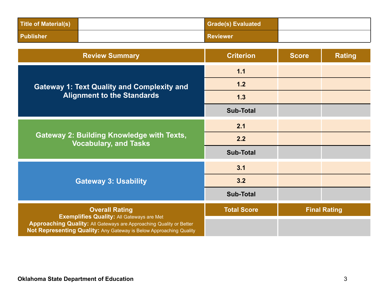| Title of Material(s) | <b>Grade(s) Evaluated</b> |  |
|----------------------|---------------------------|--|
| <b>Publisher</b>     | <b>Reviewer</b>           |  |

| <b>Review Summary</b>                                                                                                                                                                         | <b>Criterion</b>   | <b>Score</b> | <b>Rating</b>       |
|-----------------------------------------------------------------------------------------------------------------------------------------------------------------------------------------------|--------------------|--------------|---------------------|
|                                                                                                                                                                                               | 1.1                |              |                     |
| <b>Gateway 1: Text Quality and Complexity and</b>                                                                                                                                             | 1.2                |              |                     |
| <b>Alignment to the Standards</b>                                                                                                                                                             | 1.3                |              |                     |
|                                                                                                                                                                                               | <b>Sub-Total</b>   |              |                     |
|                                                                                                                                                                                               | 2.1                |              |                     |
| <b>Gateway 2: Building Knowledge with Texts,</b><br><b>Vocabulary, and Tasks</b>                                                                                                              | 2.2                |              |                     |
|                                                                                                                                                                                               | <b>Sub-Total</b>   |              |                     |
|                                                                                                                                                                                               | 3.1                |              |                     |
| <b>Gateway 3: Usability</b>                                                                                                                                                                   | 3.2                |              |                     |
|                                                                                                                                                                                               | <b>Sub-Total</b>   |              |                     |
| <b>Overall Rating</b>                                                                                                                                                                         | <b>Total Score</b> |              | <b>Final Rating</b> |
| <b>Exemplifies Quality: All Gateways are Met</b><br>Approaching Quality: All Gateways are Approaching Quality or Better<br>Not Representing Quality: Any Gateway is Below Approaching Quality |                    |              |                     |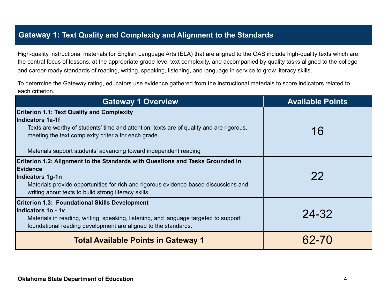#### **Gateway 1: Text Quality and Complexity and Alignment to the Standards**

High-quality instructional materials for English Language Arts (ELA) that are aligned to the OAS include high-quality texts which are: the central focus of lessons, at the appropriate grade level text complexity, and accompanied by quality tasks aligned to the college and career-ready standards of reading, writing, speaking, listening, and language in service to grow literacy skills.

To determine the Gateway rating, educators use evidence gathered from the instructional materials to score indicators related to each criterion.

| <b>Gateway 1 Overview</b>                                                                                                                                                                                                                                                                     | <b>Available Points</b> |
|-----------------------------------------------------------------------------------------------------------------------------------------------------------------------------------------------------------------------------------------------------------------------------------------------|-------------------------|
| <b>Criterion 1.1: Text Quality and Complexity</b><br>Indicators 1a-1f<br>Texts are worthy of students' time and attention: texts are of quality and are rigorous,<br>meeting the text complexity criteria for each grade.<br>Materials support students' advancing toward independent reading | 16                      |
| Criterion 1.2: Alignment to the Standards with Questions and Tasks Grounded in<br>Evidence<br>Indicators 1g-1n<br>Materials provide opportunities for rich and rigorous evidence-based discussions and<br>writing about texts to build strong literacy skills.                                | 22                      |
| <b>Criterion 1.3: Foundational Skills Development</b><br>Indicators 1o - 1v<br>Materials in reading, writing, speaking, listening, and language targeted to support<br>foundational reading development are aligned to the standards.                                                         | 24-32                   |
| <b>Total Available Points in Gateway 1</b>                                                                                                                                                                                                                                                    | 62-70                   |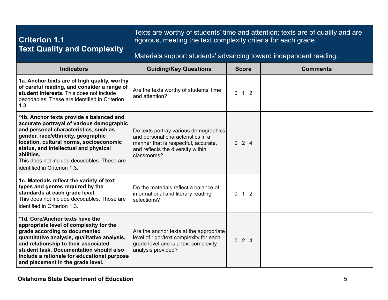| <b>Criterion 1.1</b><br><b>Text Quality and Complexity</b>                                                                                                                                                                                                                                                                                            | rigorous, meeting the text complexity criteria for each grade.<br>Materials support students' advancing toward independent reading.                                    |              | Texts are worthy of students' time and attention; texts are of quality and are |  |
|-------------------------------------------------------------------------------------------------------------------------------------------------------------------------------------------------------------------------------------------------------------------------------------------------------------------------------------------------------|------------------------------------------------------------------------------------------------------------------------------------------------------------------------|--------------|--------------------------------------------------------------------------------|--|
| <b>Indicators</b>                                                                                                                                                                                                                                                                                                                                     | <b>Guiding/Key Questions</b>                                                                                                                                           | <b>Score</b> | <b>Comments</b>                                                                |  |
| 1a. Anchor texts are of high quality, worthy<br>of careful reading, and consider a range of<br>student interests. This does not include<br>decodables. These are identified in Criterion<br>1.3.                                                                                                                                                      | Are the texts worthy of students' time<br>and attention?                                                                                                               | $0 \t1 \t2$  |                                                                                |  |
| *1b. Anchor texts provide a balanced and<br>accurate portrayal of various demographic<br>and personal characteristics, such as<br>gender, race/ethnicity, geographic<br>location, cultural norms, socioeconomic<br>status, and intellectual and physical<br>abilities.<br>This does not include decodables. Those are<br>identified in Criterion 1.3. | Do texts portray various demographics<br>and personal characteristics in a<br>manner that is respectful, accurate,<br>and reflects the diversity within<br>classrooms? | 024          |                                                                                |  |
| 1c. Materials reflect the variety of text<br>types and genres required by the<br>standards at each grade level.<br>This does not include decodables. Those are<br>identified in Criterion 1.3.                                                                                                                                                        | Do the materials reflect a balance of<br>informational and literary reading<br>selections?                                                                             | $0 \t1 \t2$  |                                                                                |  |
| *1d. Core/Anchor texts have the<br>appropriate level of complexity for the<br>grade according to documented<br>quantitative analysis, qualitative analysis,<br>and relationship to their associated<br>student task. Documentation should also<br>include a rationale for educational purpose<br>and placement in the grade level.                    | Are the anchor texts at the appropriate<br>level of rigor/text complexity for each<br>grade level and is a text complexity<br>analysis provided?                       | 024          |                                                                                |  |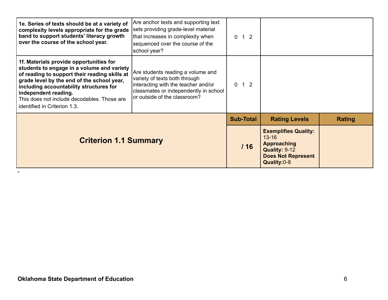| 1e. Series of texts should be at a variety of<br>complexity levels appropriate for the grade<br>band to support students' literacy growth<br>over the course of the school year.                                                                                                                                                       | Are anchor texts and supporting text<br>sets providing grade-level material<br>that increases in complexity when<br>sequenced over the course of the<br>school year?               | $0 \t1 \t2$      |                                                                                                                              |               |
|----------------------------------------------------------------------------------------------------------------------------------------------------------------------------------------------------------------------------------------------------------------------------------------------------------------------------------------|------------------------------------------------------------------------------------------------------------------------------------------------------------------------------------|------------------|------------------------------------------------------------------------------------------------------------------------------|---------------|
| 1f. Materials provide opportunities for<br>students to engage in a volume and variety<br>of reading to support their reading skills at<br>grade level by the end of the school year,<br>including accountability structures for<br>independent reading.<br>This does not include decodables. Those are<br>identified in Criterion 1.3. | Are students reading a volume and<br>variety of texts both through<br>interacting with the teacher and/or<br>classmates or independently in school<br>or outside of the classroom? | $0 \t1 \t2$      |                                                                                                                              |               |
|                                                                                                                                                                                                                                                                                                                                        |                                                                                                                                                                                    | <b>Sub-Total</b> | <b>Rating Levels</b>                                                                                                         | <b>Rating</b> |
| <b>Criterion 1.1 Summary</b>                                                                                                                                                                                                                                                                                                           |                                                                                                                                                                                    | /16              | <b>Exemplifies Quality:</b><br>$13 - 16$<br><b>Approaching</b><br>Quality: 9-12<br><b>Does Not Represent</b><br>Quality: 0-8 |               |

-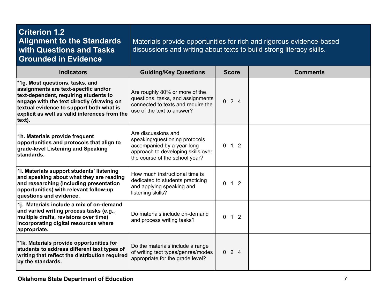| <b>Criterion 1.2</b><br><b>Alignment to the Standards</b><br>with Questions and Tasks<br><b>Grounded in Evidence</b>                                                                                                                                                 | discussions and writing about texts to build strong literacy skills.                                                                                        |              | Materials provide opportunities for rich and rigorous evidence-based |
|----------------------------------------------------------------------------------------------------------------------------------------------------------------------------------------------------------------------------------------------------------------------|-------------------------------------------------------------------------------------------------------------------------------------------------------------|--------------|----------------------------------------------------------------------|
| <b>Indicators</b>                                                                                                                                                                                                                                                    | <b>Guiding/Key Questions</b>                                                                                                                                | <b>Score</b> | <b>Comments</b>                                                      |
| *1g. Most questions, tasks, and<br>assignments are text-specific and/or<br>text-dependent, requiring students to<br>engage with the text directly (drawing on<br>textual evidence to support both what is<br>explicit as well as valid inferences from the<br>text). | Are roughly 80% or more of the<br>questions, tasks, and assignments<br>connected to texts and require the<br>use of the text to answer?                     | 024          |                                                                      |
| 1h. Materials provide frequent<br>opportunities and protocols that align to<br>grade-level Listening and Speaking<br>standards.                                                                                                                                      | Are discussions and<br>speaking/questioning protocols<br>accompanied by a year-long<br>approach to developing skills over<br>the course of the school year? | $0 \t1 \t2$  |                                                                      |
| 1i. Materials support students' listening<br>and speaking about what they are reading<br>and researching (including presentation<br>opportunities) with relevant follow-up<br>questions and evidence.                                                                | How much instructional time is<br>dedicated to students practicing<br>and applying speaking and<br>listening skills?                                        | $0 \t1 \t2$  |                                                                      |
| 1j. Materials include a mix of on-demand<br>and varied writing process tasks (e.g.,<br>multiple drafts, revisions over time)<br>incorporating digital resources where<br>appropriate.                                                                                | Do materials include on-demand<br>and process writing tasks?                                                                                                | $0 \t1 \t2$  |                                                                      |
| *1k. Materials provide opportunities for<br>students to address different text types of<br>writing that reflect the distribution required<br>by the standards.                                                                                                       | Do the materials include a range<br>of writing text types/genres/modes<br>appropriate for the grade level?                                                  | 024          |                                                                      |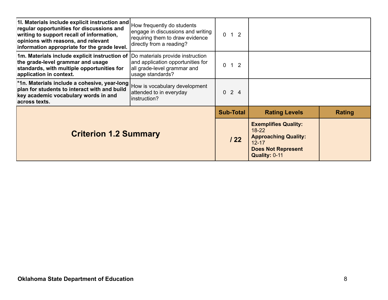| 1. Materials include explicit instruction and<br>regular opportunities for discussions and<br>writing to support recall of information,<br>opinions with reasons, and relevant<br>information appropriate for the grade level. | How frequently do students<br>engage in discussions and writing<br>requiring them to draw evidence<br>directly from a reading? | $0 \quad 1 \quad 2$   |                                                                                                                                           |               |
|--------------------------------------------------------------------------------------------------------------------------------------------------------------------------------------------------------------------------------|--------------------------------------------------------------------------------------------------------------------------------|-----------------------|-------------------------------------------------------------------------------------------------------------------------------------------|---------------|
| 1m. Materials include explicit instruction of  Do materials provide instruction<br>the grade-level grammar and usage<br>standards, with multiple opportunities for<br>application in context.                                  | and application opportunities for<br>all grade-level grammar and<br>usage standards?                                           | $1\quad2$<br>$\Omega$ |                                                                                                                                           |               |
| *1n. Materials include a cohesive, year-long<br>plan for students to interact with and build<br>key academic vocabulary words in and<br>across texts.                                                                          | How is vocabulary development<br>attended to in everyday<br>Instruction?                                                       | $0 \t2 \t4$           |                                                                                                                                           |               |
|                                                                                                                                                                                                                                |                                                                                                                                | <b>Sub-Total</b>      | <b>Rating Levels</b>                                                                                                                      | <b>Rating</b> |
| <b>Criterion 1.2 Summary</b>                                                                                                                                                                                                   |                                                                                                                                | 122                   | <b>Exemplifies Quality:</b><br>$18 - 22$<br><b>Approaching Quality:</b><br>$12 - 17$<br><b>Does Not Represent</b><br><b>Quality: 0-11</b> |               |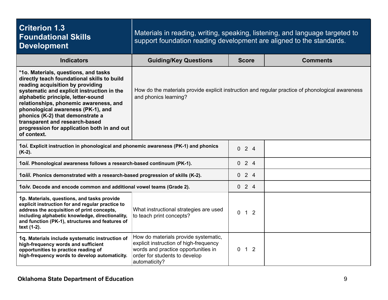| <b>Criterion 1.3</b><br><b>Foundational Skills</b><br><b>Development</b>                                                                                                                                                                                                                                                                                                                                                        | Materials in reading, writing, speaking, listening, and language targeted to<br>support foundation reading development are aligned to the standards.                    |                                  |                 |
|---------------------------------------------------------------------------------------------------------------------------------------------------------------------------------------------------------------------------------------------------------------------------------------------------------------------------------------------------------------------------------------------------------------------------------|-------------------------------------------------------------------------------------------------------------------------------------------------------------------------|----------------------------------|-----------------|
| <b>Indicators</b>                                                                                                                                                                                                                                                                                                                                                                                                               | <b>Guiding/Key Questions</b>                                                                                                                                            | <b>Score</b>                     | <b>Comments</b> |
| *1o. Materials, questions, and tasks<br>directly teach foundational skills to build<br>reading acquisition by providing<br>systematic and explicit instruction in the<br>alphabetic principle, letter-sound<br>relationships, phonemic awareness, and<br>phonological awareness (PK-1), and<br>phonics (K-2) that demonstrate a<br>transparent and research-based<br>progression for application both in and out<br>of context. | How do the materials provide explicit instruction and regular practice of phonological awareness<br>and phonics learning?                                               |                                  |                 |
| 1oi. Explicit instruction in phonological and phonemic awareness (PK-1) and phonics<br>$(K-2)$ .                                                                                                                                                                                                                                                                                                                                |                                                                                                                                                                         | 024                              |                 |
| 1oii. Phonological awareness follows a research-based continuum (PK-1).                                                                                                                                                                                                                                                                                                                                                         |                                                                                                                                                                         | 024                              |                 |
| 1oiii. Phonics demonstrated with a research-based progression of skills (K-2).                                                                                                                                                                                                                                                                                                                                                  |                                                                                                                                                                         | 024                              |                 |
| 10iv. Decode and encode common and additional vowel teams (Grade 2).                                                                                                                                                                                                                                                                                                                                                            |                                                                                                                                                                         | 024                              |                 |
| 1p. Materials, questions, and tasks provide<br>explicit instruction for and regular practice to<br>address the acquisition of print concepts,<br>including alphabetic knowledge, directionality,<br>and function (PK-1), structures and features of<br>text (1-2).                                                                                                                                                              | What instructional strategies are used<br>to teach print concepts?                                                                                                      | $0 \quad 1 \quad 2$              |                 |
| 1q. Materials include systematic instruction of<br>high-frequency words and sufficient<br>opportunities to practice reading of<br>high-frequency words to develop automaticity.                                                                                                                                                                                                                                                 | How do materials provide systematic,<br>explicit instruction of high-frequency<br>words and practice opportunities in<br>order for students to develop<br>automaticity? | 1 <sub>2</sub><br>$\overline{0}$ |                 |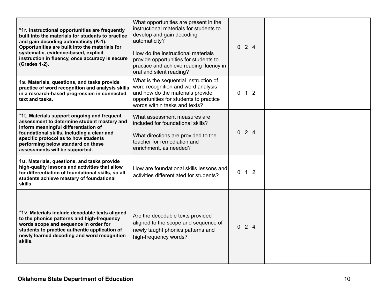| *1r. Instructional opportunities are frequently<br>built into the materials for students to practice<br>and gain decoding automaticity (K-1).<br>Opportunities are built into the materials for<br>systematic, evidence-based, explicit<br>instruction in fluency, once accuracy is secure<br>(Grades 1-2). | What opportunities are present in the<br>instructional materials for students to<br>develop and gain decoding<br>automaticity?<br>How do the instructional materials<br>provide opportunities for students to<br>practice and achieve reading fluency in<br>oral and silent reading? | $0 \t2 \t4$         |  |
|-------------------------------------------------------------------------------------------------------------------------------------------------------------------------------------------------------------------------------------------------------------------------------------------------------------|--------------------------------------------------------------------------------------------------------------------------------------------------------------------------------------------------------------------------------------------------------------------------------------|---------------------|--|
| 1s. Materials, questions, and tasks provide<br>practice of word recognition and analysis skills<br>in a research-based progression in connected<br>text and tasks.                                                                                                                                          | What is the sequential instruction of<br>word recognition and word analysis<br>and how do the materials provide<br>opportunities for students to practice<br>words within tasks and texts?                                                                                           | $0 \t1 \t2$         |  |
| *1t. Materials support ongoing and frequent<br>assessment to determine student mastery and<br>inform meaningful differentiation of<br>foundational skills, including a clear and<br>specific protocol as to how students<br>performing below standard on these<br>assessments will be supported.            | What assessment measures are<br>included for foundational skills?<br>What directions are provided to the<br>teacher for remediation and<br>enrichment, as needed?                                                                                                                    | 024                 |  |
| 1u. Materials, questions, and tasks provide<br>high-quality lessons and activities that allow<br>for differentiation of foundational skills, so all<br>students achieve mastery of foundational<br>skills.                                                                                                  | How are foundational skills lessons and<br>activities differentiated for students?                                                                                                                                                                                                   | $0 \quad 1 \quad 2$ |  |
| *1v. Materials include decodable texts aligned<br>to the phonics patterns and high-frequency<br>words scope and sequence in order for<br>students to practice authentic application of<br>newly learned decoding and word recognition<br>skills.                                                            | Are the decodable texts provided<br>aligned to the scope and sequence of<br>newly taught phonics patterns and<br>high-frequency words?                                                                                                                                               | 024                 |  |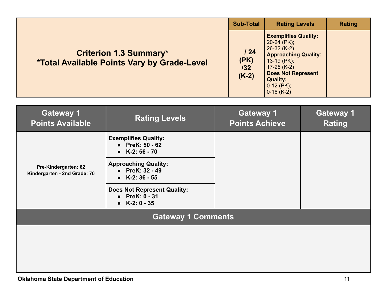|                                                                                            | <b>Sub-Total</b>              | <b>Rating Levels</b>                                                                                                                                                                                             | Rating |
|--------------------------------------------------------------------------------------------|-------------------------------|------------------------------------------------------------------------------------------------------------------------------------------------------------------------------------------------------------------|--------|
| <b>Criterion 1.3 Summary*</b><br><i><b>*Total Available Points Vary by Grade-Level</b></i> | 124<br>(PK)<br>132<br>$(K-2)$ | <b>Exemplifies Quality:</b><br>$20-24$ (PK);<br>$26-32 (K-2)$<br><b>Approaching Quality:</b><br>$13-19$ (PK);<br>$17 - 25$ (K-2)<br><b>Does Not Represent</b><br><b>Quality:</b><br>$0-12$ (PK);<br>$0-16$ (K-2) |        |

| <b>Gateway 1</b><br><b>Points Available</b>          | <b>Rating Levels</b>                                                                                                                                                                                                          | <b>Gateway 1</b><br><b>Points Achieve</b> | <b>Gateway 1</b><br><b>Rating</b> |
|------------------------------------------------------|-------------------------------------------------------------------------------------------------------------------------------------------------------------------------------------------------------------------------------|-------------------------------------------|-----------------------------------|
| Pre-Kindergarten: 62<br>Kindergarten - 2nd Grade: 70 | <b>Exemplifies Quality:</b><br>• PreK: $50 - 62$<br>• $K-2: 56 - 70$<br><b>Approaching Quality:</b><br>• PreK: 32 - 49<br>$K-2:36-55$<br>$\bullet$<br><b>Does Not Represent Quality:</b><br>• PreK: 0 - 31<br>• $K-2: 0 - 35$ |                                           |                                   |
|                                                      | <b>Gateway 1 Comments</b>                                                                                                                                                                                                     |                                           |                                   |
|                                                      |                                                                                                                                                                                                                               |                                           |                                   |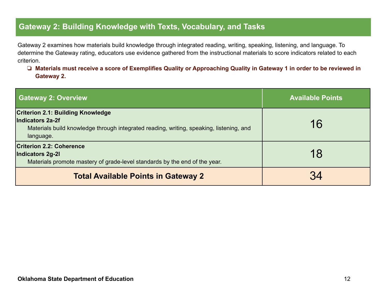#### **Gateway 2: Building Knowledge with Texts, Vocabulary, and Tasks**

Gateway 2 examines how materials build knowledge through integrated reading, writing, speaking, listening, and language. To determine the Gateway rating, educators use evidence gathered from the instructional materials to score indicators related to each criterion.

#### ❏ **Materials must receive a score of Exemplifies Quality or Approaching Quality in Gateway 1 in order to be reviewed in Gateway 2.**

| <b>Gateway 2: Overview</b>                                                                                                                                           | <b>Available Points</b> |
|----------------------------------------------------------------------------------------------------------------------------------------------------------------------|-------------------------|
| <b>Criterion 2.1: Building Knowledge</b><br>Indicators 2a-2f<br>Materials build knowledge through integrated reading, writing, speaking, listening, and<br>language. | 16                      |
| <b>Criterion 2.2: Coherence</b><br>Indicators 2g-2l<br>Materials promote mastery of grade-level standards by the end of the year.                                    | 18                      |
| <b>Total Available Points in Gateway 2</b>                                                                                                                           |                         |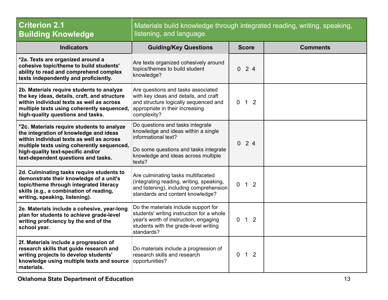| <b>Criterion 2.1</b><br><b>Building Knowledge</b>                                                                                                                                                                                                           | Materials build knowledge through integrated reading, writing, speaking,<br>listening, and language.                                                                                     |                             |                 |  |
|-------------------------------------------------------------------------------------------------------------------------------------------------------------------------------------------------------------------------------------------------------------|------------------------------------------------------------------------------------------------------------------------------------------------------------------------------------------|-----------------------------|-----------------|--|
| <b>Indicators</b>                                                                                                                                                                                                                                           | <b>Guiding/Key Questions</b>                                                                                                                                                             | <b>Score</b>                | <b>Comments</b> |  |
| *2a. Texts are organized around a<br>cohesive topic/theme to build students'<br>ability to read and comprehend complex<br>texts independently and proficiently.                                                                                             | Are texts organized cohesively around<br>topics/themes to build student<br>knowledge?                                                                                                    | $0 \t2 \t4$                 |                 |  |
| 2b. Materials require students to analyze<br>the key ideas, details, craft, and structure<br>within individual texts as well as across<br>multiple texts using coherently sequenced,<br>high-quality questions and tasks.                                   | Are questions and tasks associated<br>with key ideas and details, and craft<br>and structure logically sequenced and<br>appropriate in their increasing<br>complexity?                   | 1 <sub>2</sub><br>$\Omega$  |                 |  |
| *2c. Materials require students to analyze<br>the integration of knowledge and ideas<br>within individual texts as well as across<br>multiple texts using coherently sequenced,<br>high-quality text-specific and/or<br>text-dependent questions and tasks. | Do questions and tasks integrate<br>knowledge and ideas within a single<br>informational text?<br>Do some questions and tasks integrate<br>knowledge and ideas across multiple<br>texts? | 24<br>$\overline{0}$        |                 |  |
| 2d. Culminating tasks require students to<br>demonstrate their knowledge of a unit's<br>topic/theme through integrated literacy<br>skills (e.g., a combination of reading,<br>writing, speaking, listening).                                                | Are culminating tasks multifaceted<br>(integrating reading, writing, speaking,<br>and listening), including comprehension<br>standards and content knowledge?                            | $0 \t1 \t2$                 |                 |  |
| 2e. Materials include a cohesive, year-long<br>plan for students to achieve grade-level<br>writing proficiency by the end of the<br>school year.                                                                                                            | Do the materials include support for<br>students' writing instruction for a whole<br>year's worth of instruction, engaging<br>students with the grade-level writing<br>standards?        | $1\quad2$<br>$\overline{0}$ |                 |  |
| 2f. Materials include a progression of<br>research skills that guide research and<br>writing projects to develop students'<br>knowledge using multiple texts and source<br>materials.                                                                       | Do materials include a progression of<br>research skills and research<br>opportunities?                                                                                                  | $\overline{0}$<br>$1\quad2$ |                 |  |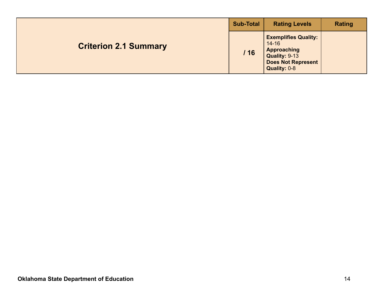|                              | <b>Sub-Total</b> | <b>Rating Levels</b>                                                                                                  | <b>Rating</b> |
|------------------------------|------------------|-----------------------------------------------------------------------------------------------------------------------|---------------|
| <b>Criterion 2.1 Summary</b> | /16              | <b>Exemplifies Quality:</b><br>$14 - 16$<br>Approaching<br>Quality: 9-13<br><b>Does Not Represent</b><br>Quality: 0-8 |               |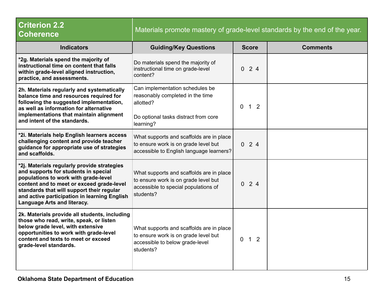| <b>Criterion 2.2</b><br><b>Coherence</b>                                                                                                                                                                                                                                                                    | Materials promote mastery of grade-level standards by the end of the year.                                                            |                            |                 |  |
|-------------------------------------------------------------------------------------------------------------------------------------------------------------------------------------------------------------------------------------------------------------------------------------------------------------|---------------------------------------------------------------------------------------------------------------------------------------|----------------------------|-----------------|--|
| <b>Indicators</b>                                                                                                                                                                                                                                                                                           | <b>Guiding/Key Questions</b>                                                                                                          | <b>Score</b>               | <b>Comments</b> |  |
| *2g. Materials spend the majority of<br>instructional time on content that falls<br>within grade-level aligned instruction,<br>practice, and assessments.                                                                                                                                                   | Do materials spend the majority of<br>instructional time on grade-level<br>content?                                                   | 024                        |                 |  |
| 2h. Materials regularly and systematically<br>balance time and resources required for<br>following the suggested implementation,<br>as well as information for alternative<br>implementations that maintain alignment<br>and intent of the standards.                                                       | Can implementation schedules be<br>reasonably completed in the time<br>allotted?<br>Do optional tasks distract from core<br>learning? | 1 <sub>2</sub><br>0        |                 |  |
| *2i. Materials help English learners access<br>challenging content and provide teacher<br>guidance for appropriate use of strategies<br>and scaffolds.                                                                                                                                                      | What supports and scaffolds are in place<br>to ensure work is on grade level but<br>accessible to English language learners?          | $0 \t2 \t4$                |                 |  |
| *2j. Materials regularly provide strategies<br>and supports for students in special<br>populations to work with grade-level<br>content and to meet or exceed grade-level<br>standards that will support their regular<br>and active participation in learning English<br><b>Language Arts and literacy.</b> | What supports and scaffolds are in place<br>to ensure work is on grade level but<br>accessible to special populations of<br>students? | 024                        |                 |  |
| 2k. Materials provide all students, including<br>those who read, write, speak, or listen<br>below grade level, with extensive<br>opportunities to work with grade-level<br>content and texts to meet or exceed<br>grade-level standards.                                                                    | What supports and scaffolds are in place<br>to ensure work is on grade level but<br>accessible to below grade-level<br>students?      | $\Omega$<br>1 <sub>2</sub> |                 |  |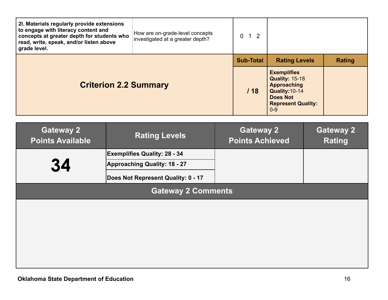| 2I. Materials regularly provide extensions<br>to engage with literacy content and<br>concepts at greater depth for students who<br>read, write, speak, and/or listen above<br>grade level. | How are on-grade-level concepts<br>investigated at a greater depth? | $0 \quad 1 \quad 2$                        |                                                                                                                                                |                                   |
|--------------------------------------------------------------------------------------------------------------------------------------------------------------------------------------------|---------------------------------------------------------------------|--------------------------------------------|------------------------------------------------------------------------------------------------------------------------------------------------|-----------------------------------|
|                                                                                                                                                                                            |                                                                     | <b>Sub-Total</b>                           | <b>Rating Levels</b>                                                                                                                           | <b>Rating</b>                     |
| <b>Criterion 2.2 Summary</b>                                                                                                                                                               |                                                                     | /18                                        | <b>Exemplifies</b><br><b>Quality: 15-18</b><br><b>Approaching</b><br>Quality: 10-14<br><b>Does Not</b><br><b>Represent Quality:</b><br>$0 - 9$ |                                   |
| <b>Gateway 2</b><br><b>Points Available</b>                                                                                                                                                | <b>Rating Levels</b>                                                | <b>Gateway 2</b><br><b>Points Achieved</b> |                                                                                                                                                | <b>Gateway 2</b><br><b>Rating</b> |

|                           |                                     | ------------------- |  |  |  |
|---------------------------|-------------------------------------|---------------------|--|--|--|
|                           | <b>Exemplifies Quality: 28 - 34</b> |                     |  |  |  |
| 34                        | Approaching Quality: 18 - 27        |                     |  |  |  |
|                           | Does Not Represent Quality: 0 - 17  |                     |  |  |  |
| <b>Gateway 2 Comments</b> |                                     |                     |  |  |  |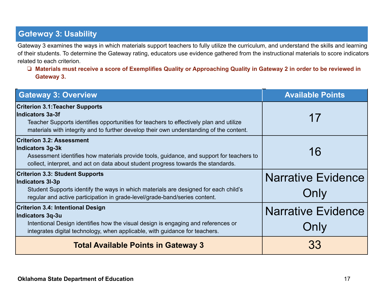### **Gateway 3: Usability**

Gateway 3 examines the ways in which materials support teachers to fully utilize the curriculum, and understand the skills and learning of their students. To determine the Gateway rating, educators use evidence gathered from the instructional materials to score indicators related to each criterion.

❏ **Materials must receive a score of Exemplifies Quality or Approaching Quality in Gateway 2 in order to be reviewed in Gateway 3.**

| Gateway 3: Overview                                                                                                                                                                                                                             | <b>Available Points</b>           |
|-------------------------------------------------------------------------------------------------------------------------------------------------------------------------------------------------------------------------------------------------|-----------------------------------|
| <b>Criterion 3.1: Teacher Supports</b><br>Indicators 3a-3f<br>Teacher Supports identifies opportunities for teachers to effectively plan and utilize<br>materials with integrity and to further develop their own understanding of the content. | 17                                |
| <b>Criterion 3.2: Assessment</b><br>Indicators 3g-3k<br>Assessment identifies how materials provide tools, guidance, and support for teachers to<br>collect, interpret, and act on data about student progress towards the standards.           | 16                                |
| <b>Criterion 3.3: Student Supports</b><br>Indicators 3I-3p<br>Student Supports identify the ways in which materials are designed for each child's<br>regular and active participation in grade-level/grade-band/series content.                 | <b>Narrative Evidence</b><br>Only |
| <b>Criterion 3.4: Intentional Design</b><br>Indicators 3q-3u<br>Intentional Design identifies how the visual design is engaging and references or<br>integrates digital technology, when applicable, with guidance for teachers.                | <b>Narrative Evidence</b><br>Only |
| <b>Total Available Points in Gateway 3</b>                                                                                                                                                                                                      | 33                                |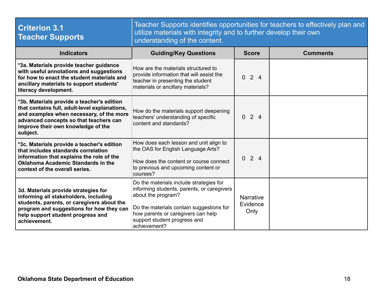| <b>Criterion 3.1</b><br><b>Teacher Supports</b>                                                                                                                                                                                     | Teacher Supports identifies opportunities for teachers to effectively plan and<br>utilize materials with integrity and to further develop their own<br>understanding of the content.                                                          |                                      |                 |  |
|-------------------------------------------------------------------------------------------------------------------------------------------------------------------------------------------------------------------------------------|-----------------------------------------------------------------------------------------------------------------------------------------------------------------------------------------------------------------------------------------------|--------------------------------------|-----------------|--|
| <b>Indicators</b>                                                                                                                                                                                                                   | <b>Guiding/Key Questions</b>                                                                                                                                                                                                                  | <b>Score</b>                         | <b>Comments</b> |  |
| *3a. Materials provide teacher guidance<br>with useful annotations and suggestions<br>for how to enact the student materials and<br>ancillary materials to support students'<br>literacy development.                               | How are the materials structured to<br>provide information that will assist the<br>teacher in presenting the student<br>materials or ancillary materials?                                                                                     | 024                                  |                 |  |
| *3b. Materials provide a teacher's edition<br>that contains full, adult-level explanations,<br>and examples when necessary, of the more<br>advanced concepts so that teachers can<br>improve their own knowledge of the<br>subject. | How do the materials support deepening<br>teachers' understanding of specific<br>content and standards?                                                                                                                                       | 024                                  |                 |  |
| *3c. Materials provide a teacher's edition<br>that includes standards correlation<br>information that explains the role of the<br>Oklahoma Academic Standards in the<br>context of the overall series.                              | How does each lesson and unit align to<br>the OAS for English Language Arts?<br>How does the content or course connect<br>to previous and upcoming content or<br>courses?                                                                     | 024                                  |                 |  |
| 3d. Materials provide strategies for<br>informing all stakeholders, including<br>students, parents, or caregivers about the<br>program and suggestions for how they can<br>help support student progress and<br>achievement.        | Do the materials include strategies for<br>informing students, parents, or caregivers<br>about the program?<br>Do the materials contain suggestions for<br>how parents or caregivers can help<br>support student progress and<br>achievement? | <b>Narrative</b><br>Evidence<br>Only |                 |  |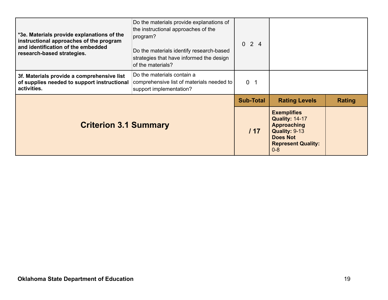| *3e. Materials provide explanations of the<br>instructional approaches of the program<br>and identification of the embedded<br>research-based strategies. | Do the materials provide explanations of<br>the instructional approaches of the<br>program?<br>Do the materials identify research-based<br>strategies that have informed the design<br>of the materials? | 024              |                                                                                                                                               |        |
|-----------------------------------------------------------------------------------------------------------------------------------------------------------|----------------------------------------------------------------------------------------------------------------------------------------------------------------------------------------------------------|------------------|-----------------------------------------------------------------------------------------------------------------------------------------------|--------|
| 3f. Materials provide a comprehensive list<br>of supplies needed to support instructional<br>activities.                                                  | Do the materials contain a<br>comprehensive list of materials needed to<br>support implementation?                                                                                                       | 0 <sub>1</sub>   |                                                                                                                                               |        |
|                                                                                                                                                           |                                                                                                                                                                                                          | <b>Sub-Total</b> | <b>Rating Levels</b>                                                                                                                          | Rating |
| <b>Criterion 3.1 Summary</b>                                                                                                                              |                                                                                                                                                                                                          | 117              | <b>Exemplifies</b><br><b>Quality: 14-17</b><br><b>Approaching</b><br>Quality: 9-13<br><b>Does Not</b><br><b>Represent Quality:</b><br>$0 - 8$ |        |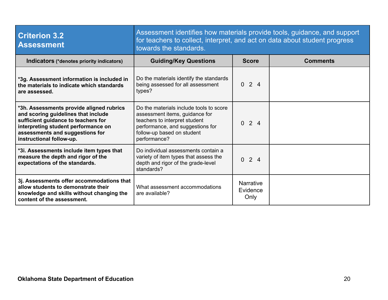| <b>Criterion 3.2</b><br><b>Assessment</b>                                                                                                                                                                                    | Assessment identifies how materials provide tools, guidance, and support<br>for teachers to collect, interpret, and act on data about student progress<br>towards the standards.             |                                      |                 |  |
|------------------------------------------------------------------------------------------------------------------------------------------------------------------------------------------------------------------------------|----------------------------------------------------------------------------------------------------------------------------------------------------------------------------------------------|--------------------------------------|-----------------|--|
| Indicators (*denotes priority indicators)                                                                                                                                                                                    | <b>Guiding/Key Questions</b>                                                                                                                                                                 | <b>Score</b>                         | <b>Comments</b> |  |
| *3g. Assessment information is included in<br>the materials to indicate which standards<br>are assessed.                                                                                                                     | Do the materials identify the standards<br>being assessed for all assessment<br>types?                                                                                                       | 024                                  |                 |  |
| *3h. Assessments provide aligned rubrics<br>and scoring guidelines that include<br>sufficient guidance to teachers for<br>interpreting student performance on<br>assessments and suggestions for<br>instructional follow-up. | Do the materials include tools to score<br>assessment items, guidance for<br>teachers to interpret student<br>performance, and suggestions for<br>follow-up based on student<br>performance? | $0 \t2 \t4$                          |                 |  |
| *3i. Assessments include item types that<br>measure the depth and rigor of the<br>expectations of the standards.                                                                                                             | Do individual assessments contain a<br>variety of item types that assess the<br>depth and rigor of the grade-level<br>standards?                                                             | 024                                  |                 |  |
| 3j. Assessments offer accommodations that<br>allow students to demonstrate their<br>knowledge and skills without changing the<br>content of the assessment.                                                                  | What assessment accommodations<br>are available?                                                                                                                                             | <b>Narrative</b><br>Evidence<br>Only |                 |  |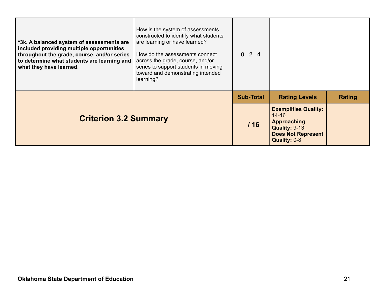| *3k. A balanced system of assessments are<br>included providing multiple opportunities<br>throughout the grade, course, and/or series<br>to determine what students are learning and<br>what they have learned. | How is the system of assessments<br>constructed to identify what students<br>are learning or have learned?<br>How do the assessments connect<br>across the grade, course, and/or<br>series to support students in moving<br>toward and demonstrating intended<br>learning? | $0 \t2 \t4$      |                                                                                                                              |               |
|-----------------------------------------------------------------------------------------------------------------------------------------------------------------------------------------------------------------|----------------------------------------------------------------------------------------------------------------------------------------------------------------------------------------------------------------------------------------------------------------------------|------------------|------------------------------------------------------------------------------------------------------------------------------|---------------|
|                                                                                                                                                                                                                 |                                                                                                                                                                                                                                                                            | <b>Sub-Total</b> | <b>Rating Levels</b>                                                                                                         | <b>Rating</b> |
| <b>Criterion 3.2 Summary</b>                                                                                                                                                                                    |                                                                                                                                                                                                                                                                            | 116              | <b>Exemplifies Quality:</b><br>$14 - 16$<br><b>Approaching</b><br>Quality: 9-13<br><b>Does Not Represent</b><br>Quality: 0-8 |               |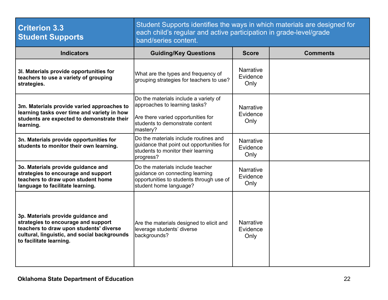| <b>Criterion 3.3</b><br><b>Student Supports</b>                                                                                                                                                 | Student Supports identifies the ways in which materials are designed for<br>each child's regular and active participation in grade-level/grade<br>band/series content. |                                      |                 |  |
|-------------------------------------------------------------------------------------------------------------------------------------------------------------------------------------------------|------------------------------------------------------------------------------------------------------------------------------------------------------------------------|--------------------------------------|-----------------|--|
| <b>Indicators</b>                                                                                                                                                                               | <b>Guiding/Key Questions</b>                                                                                                                                           | <b>Score</b>                         | <b>Comments</b> |  |
| 3I. Materials provide opportunities for<br>teachers to use a variety of grouping<br>strategies.                                                                                                 | What are the types and frequency of<br>grouping strategies for teachers to use?                                                                                        | <b>Narrative</b><br>Evidence<br>Only |                 |  |
| 3m. Materials provide varied approaches to<br>learning tasks over time and variety in how<br>students are expected to demonstrate their<br>learning.                                            | Do the materials include a variety of<br>approaches to learning tasks?<br>Are there varied opportunities for<br>students to demonstrate content<br>mastery?            | <b>Narrative</b><br>Evidence<br>Only |                 |  |
| 3n. Materials provide opportunities for<br>students to monitor their own learning.                                                                                                              | Do the materials include routines and<br>guidance that point out opportunities for<br>students to monitor their learning<br>progress?                                  | <b>Narrative</b><br>Evidence<br>Only |                 |  |
| 3o. Materials provide guidance and<br>strategies to encourage and support<br>teachers to draw upon student home<br>language to facilitate learning.                                             | Do the materials include teacher<br>guidance on connecting learning<br>opportunities to students through use of<br>student home language?                              | <b>Narrative</b><br>Evidence<br>Only |                 |  |
| 3p. Materials provide guidance and<br>strategies to encourage and support<br>teachers to draw upon students' diverse<br>cultural, linguistic, and social backgrounds<br>to facilitate learning. | Are the materials designed to elicit and<br>leverage students' diverse<br>backgrounds?                                                                                 | <b>Narrative</b><br>Evidence<br>Only |                 |  |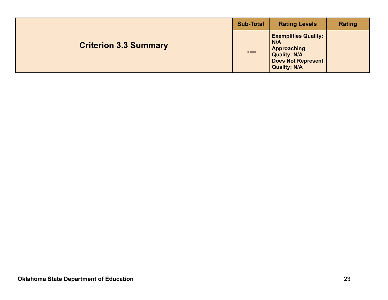|                              | <b>Sub-Total</b>                                                                                                                                                                                                                                                                                                                                     | <b>Rating Levels</b>                                                                                                                | <b>Rating</b> |
|------------------------------|------------------------------------------------------------------------------------------------------------------------------------------------------------------------------------------------------------------------------------------------------------------------------------------------------------------------------------------------------|-------------------------------------------------------------------------------------------------------------------------------------|---------------|
| <b>Criterion 3.3 Summary</b> | $\begin{array}{c} \rule{0.2cm}{0.15cm} \rule{0.2cm}{0.15cm} \rule{0.2cm}{0.15cm} \rule{0.2cm}{0.15cm} \rule{0.2cm}{0.15cm} \rule{0.2cm}{0.15cm} \rule{0.2cm}{0.15cm} \rule{0.2cm}{0.15cm} \rule{0.2cm}{0.15cm} \rule{0.2cm}{0.15cm} \rule{0.2cm}{0.15cm} \rule{0.2cm}{0.15cm} \rule{0.2cm}{0.15cm} \rule{0.2cm}{0.15cm} \rule{0.2cm}{0.15cm} \rule{$ | <b>Exemplifies Quality:</b><br>N/A<br><b>Approaching</b><br><b>Quality: N/A</b><br><b>Does Not Represent</b><br><b>Quality: N/A</b> |               |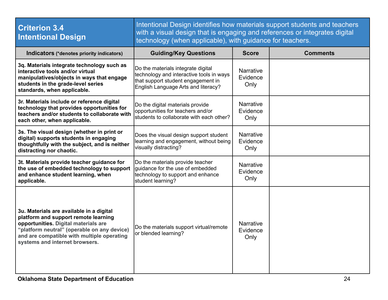| <b>Criterion 3.4</b><br><b>Intentional Design</b>                                                                                                                                                                                                       | Intentional Design identifies how materials support students and teachers<br>with a visual design that is engaging and references or integrates digital<br>technology (when applicable), with guidance for teachers. |                                      |                 |  |  |
|---------------------------------------------------------------------------------------------------------------------------------------------------------------------------------------------------------------------------------------------------------|----------------------------------------------------------------------------------------------------------------------------------------------------------------------------------------------------------------------|--------------------------------------|-----------------|--|--|
| Indicators (*denotes priority indicators)                                                                                                                                                                                                               | <b>Guiding/Key Questions</b>                                                                                                                                                                                         | <b>Score</b>                         | <b>Comments</b> |  |  |
| 3q. Materials integrate technology such as<br>interactive tools and/or virtual<br>manipulatives/objects in ways that engage<br>students in the grade-level series<br>standards, when applicable.                                                        | Do the materials integrate digital<br>technology and interactive tools in ways<br>that support student engagement in<br>English Language Arts and literacy?                                                          | <b>Narrative</b><br>Evidence<br>Only |                 |  |  |
| 3r. Materials include or reference digital<br>technology that provides opportunities for<br>teachers and/or students to collaborate with<br>each other, when applicable.                                                                                | Do the digital materials provide<br>opportunities for teachers and/or<br>students to collaborate with each other?                                                                                                    | <b>Narrative</b><br>Evidence<br>Only |                 |  |  |
| 3s. The visual design (whether in print or<br>digital) supports students in engaging<br>thoughtfully with the subject, and is neither<br>distracting nor chaotic.                                                                                       | Does the visual design support student<br>learning and engagement, without being<br>visually distracting?                                                                                                            | <b>Narrative</b><br>Evidence<br>Only |                 |  |  |
| 3t. Materials provide teacher guidance for<br>the use of embedded technology to support<br>and enhance student learning, when<br>applicable.                                                                                                            | Do the materials provide teacher<br>quidance for the use of embedded<br>technology to support and enhance<br>student learning?                                                                                       | <b>Narrative</b><br>Evidence<br>Only |                 |  |  |
| 3u. Materials are available in a digital<br>platform and support remote learning<br>opportunities. Digital materials are<br>"platform neutral" (operable on any device)<br>and are compatible with multiple operating<br>systems and internet browsers. | Do the materials support virtual/remote<br>or blended learning?                                                                                                                                                      | <b>Narrative</b><br>Evidence<br>Only |                 |  |  |